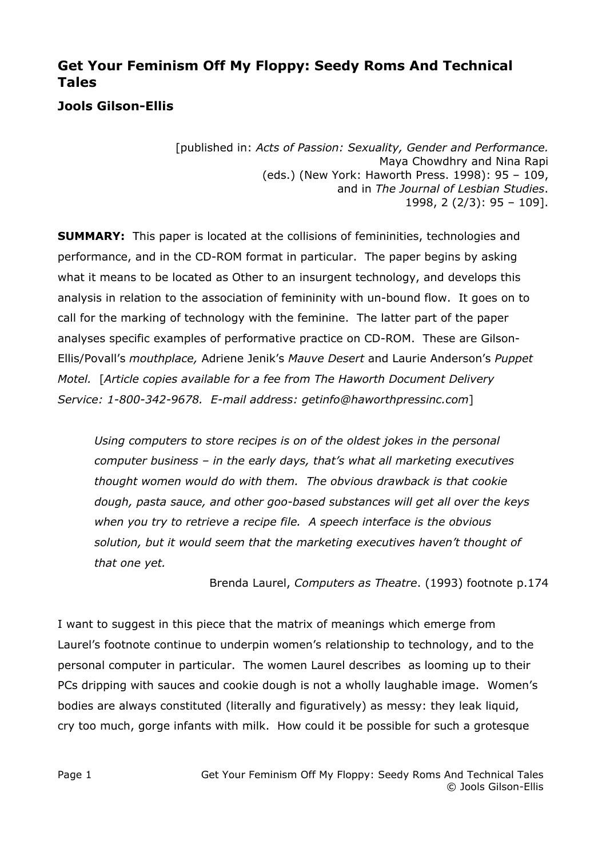# **Get Your Feminism Off My Floppy: Seedy Roms And Technical Tales**

# **Jools Gilson-Ellis**

[published in: *Acts of Passion: Sexuality, Gender and Performance.* Maya Chowdhry and Nina Rapi (eds.) (New York: Haworth Press. 1998): 95 – 109, and in *The Journal of Lesbian Studies*. 1998, 2 (2/3): 95 – 109].

**SUMMARY:** This paper is located at the collisions of femininities, technologies and performance, and in the CD-ROM format in particular. The paper begins by asking what it means to be located as Other to an insurgent technology, and develops this analysis in relation to the association of femininity with un-bound flow. It goes on to call for the marking of technology with the feminine. The latter part of the paper analyses specific examples of performative practice on CD-ROM. These are Gilson-Ellis/Povall's *mouthplace,* Adriene Jenik's *Mauve Desert* and Laurie Anderson's *Puppet Motel.* [*Article copies available for a fee from The Haworth Document Delivery Service: 1-800-342-9678. E-mail address: getinfo@haworthpressinc.com*]

*Using computers to store recipes is on of the oldest jokes in the personal computer business – in the early days, that's what all marketing executives thought women would do with them. The obvious drawback is that cookie dough, pasta sauce, and other goo-based substances will get all over the keys when you try to retrieve a recipe file. A speech interface is the obvious solution, but it would seem that the marketing executives haven't thought of that one yet.*

Brenda Laurel, *Computers as Theatre*. (1993) footnote p.174

I want to suggest in this piece that the matrix of meanings which emerge from Laurel's footnote continue to underpin women's relationship to technology, and to the personal computer in particular. The women Laurel describes as looming up to their PCs dripping with sauces and cookie dough is not a wholly laughable image. Women's bodies are always constituted (literally and figuratively) as messy: they leak liquid, cry too much, gorge infants with milk. How could it be possible for such a grotesque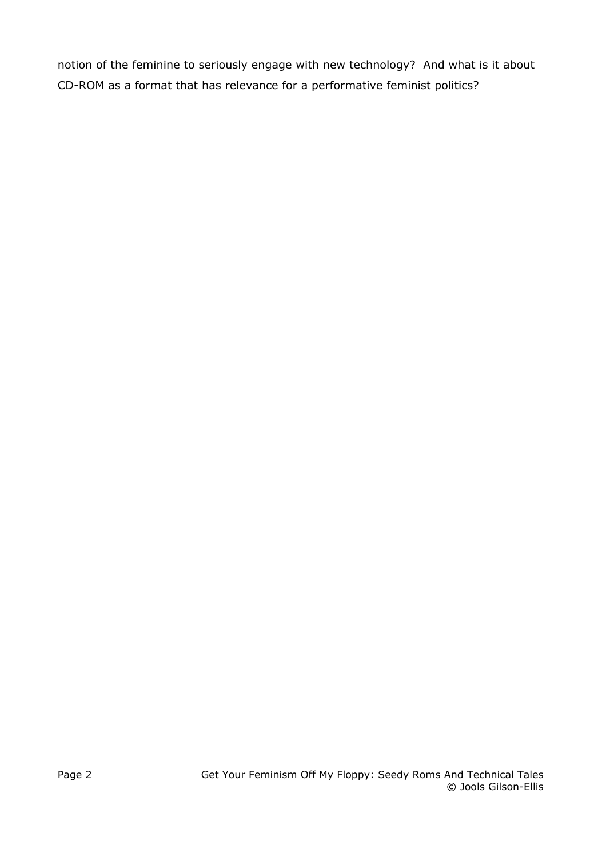notion of the feminine to seriously engage with new technology? And what is it about CD-ROM as a format that has relevance for a performative feminist politics?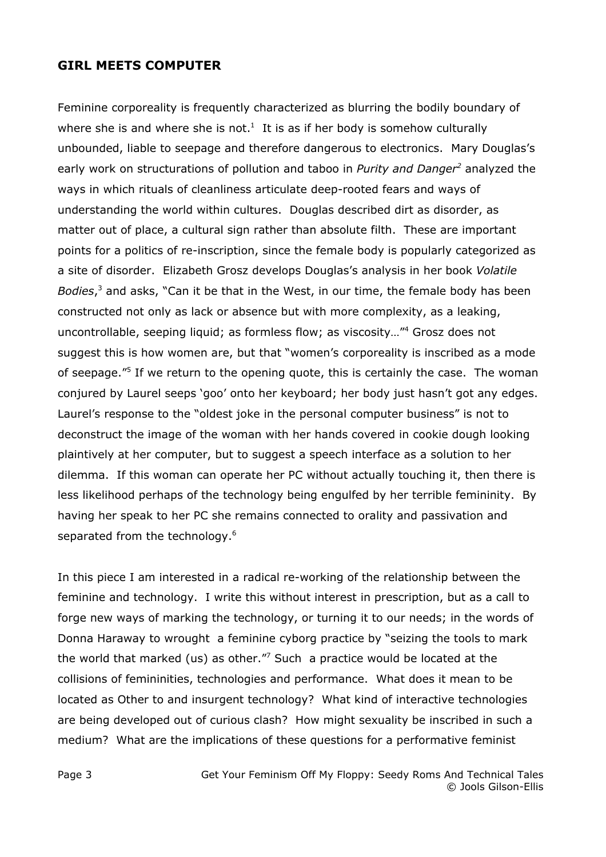### **GIRL MEETS COMPUTER**

Feminine corporeality is frequently characterized as blurring the bodily boundary of where she is and where she is not. $1$  It is as if her body is somehow culturally unbounded, liable to seepage and therefore dangerous to electronics. Mary Douglas's early work on structurations of pollution and taboo in *Purity and Danger2* analyzed the ways in which rituals of cleanliness articulate deep-rooted fears and ways of understanding the world within cultures. Douglas described dirt as disorder, as matter out of place, a cultural sign rather than absolute filth. These are important points for a politics of re-inscription, since the female body is popularly categorized as a site of disorder. Elizabeth Grosz develops Douglas's analysis in her book *Volatile Bodies*, 3 and asks, "Can it be that in the West, in our time, the female body has been constructed not only as lack or absence but with more complexity, as a leaking, uncontrollable, seeping liquid; as formless flow; as viscosity…"4 Grosz does not suggest this is how women are, but that "women's corporeality is inscribed as a mode of seepage.<sup>"5</sup> If we return to the opening quote, this is certainly the case. The woman conjured by Laurel seeps 'goo' onto her keyboard; her body just hasn't got any edges. Laurel's response to the "oldest joke in the personal computer business" is not to deconstruct the image of the woman with her hands covered in cookie dough looking plaintively at her computer, but to suggest a speech interface as a solution to her dilemma. If this woman can operate her PC without actually touching it, then there is less likelihood perhaps of the technology being engulfed by her terrible femininity. By having her speak to her PC she remains connected to orality and passivation and separated from the technology.<sup>6</sup>

In this piece I am interested in a radical re-working of the relationship between the feminine and technology. I write this without interest in prescription, but as a call to forge new ways of marking the technology, or turning it to our needs; in the words of Donna Haraway to wrought a feminine cyborg practice by "seizing the tools to mark the world that marked (us) as other.<sup>"7</sup> Such a practice would be located at the collisions of femininities, technologies and performance. What does it mean to be located as Other to and insurgent technology? What kind of interactive technologies are being developed out of curious clash? How might sexuality be inscribed in such a medium? What are the implications of these questions for a performative feminist

Page 3 Get Your Feminism Off My Floppy: Seedy Roms And Technical Tales © Jools Gilson-Ellis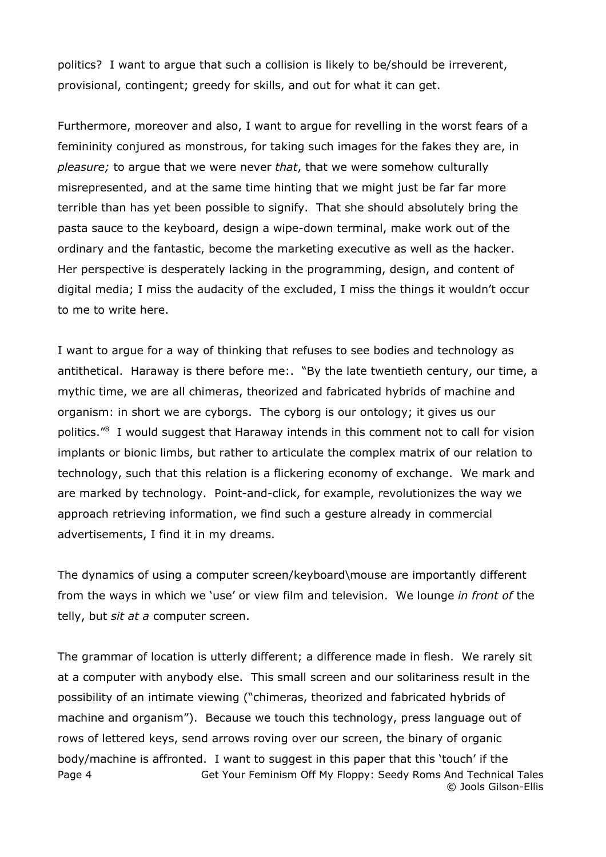politics? I want to argue that such a collision is likely to be/should be irreverent, provisional, contingent; greedy for skills, and out for what it can get.

Furthermore, moreover and also, I want to argue for revelling in the worst fears of a femininity conjured as monstrous, for taking such images for the fakes they are, in *pleasure;* to argue that we were never *that*, that we were somehow culturally misrepresented, and at the same time hinting that we might just be far far more terrible than has yet been possible to signify. That she should absolutely bring the pasta sauce to the keyboard, design a wipe-down terminal, make work out of the ordinary and the fantastic, become the marketing executive as well as the hacker. Her perspective is desperately lacking in the programming, design, and content of digital media; I miss the audacity of the excluded, I miss the things it wouldn't occur to me to write here.

I want to argue for a way of thinking that refuses to see bodies and technology as antithetical. Haraway is there before me:. "By the late twentieth century, our time, a mythic time, we are all chimeras, theorized and fabricated hybrids of machine and organism: in short we are cyborgs. The cyborg is our ontology; it gives us our politics."<sup>8</sup> I would suggest that Haraway intends in this comment not to call for vision implants or bionic limbs, but rather to articulate the complex matrix of our relation to technology, such that this relation is a flickering economy of exchange. We mark and are marked by technology. Point-and-click, for example, revolutionizes the way we approach retrieving information, we find such a gesture already in commercial advertisements, I find it in my dreams.

The dynamics of using a computer screen/keyboard\mouse are importantly different from the ways in which we 'use' or view film and television. We lounge *in front of* the telly, but *sit at a* computer screen.

Page 4 Get Your Feminism Off My Floppy: Seedy Roms And Technical Tales © Jools Gilson-Ellis The grammar of location is utterly different; a difference made in flesh. We rarely sit at a computer with anybody else. This small screen and our solitariness result in the possibility of an intimate viewing ("chimeras, theorized and fabricated hybrids of machine and organism"). Because we touch this technology, press language out of rows of lettered keys, send arrows roving over our screen, the binary of organic body/machine is affronted. I want to suggest in this paper that this 'touch' if the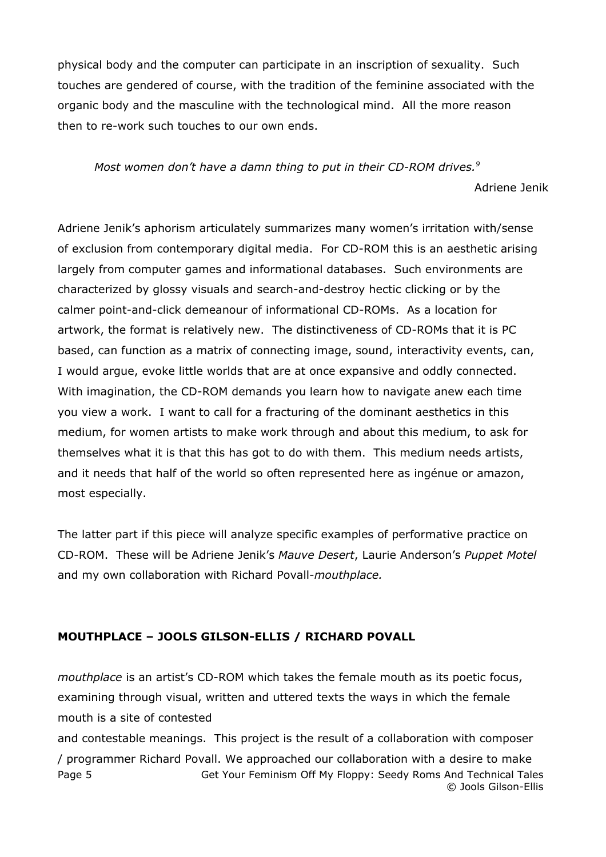physical body and the computer can participate in an inscription of sexuality. Such touches are gendered of course, with the tradition of the feminine associated with the organic body and the masculine with the technological mind. All the more reason then to re-work such touches to our own ends.

*Most women don't have a damn thing to put in their CD-ROM drives.9* Adriene Jenik

Adriene Jenik's aphorism articulately summarizes many women's irritation with/sense of exclusion from contemporary digital media. For CD-ROM this is an aesthetic arising largely from computer games and informational databases. Such environments are characterized by glossy visuals and search-and-destroy hectic clicking or by the calmer point-and-click demeanour of informational CD-ROMs. As a location for artwork, the format is relatively new. The distinctiveness of CD-ROMs that it is PC based, can function as a matrix of connecting image, sound, interactivity events, can, I would argue, evoke little worlds that are at once expansive and oddly connected. With imagination, the CD-ROM demands you learn how to navigate anew each time you view a work. I want to call for a fracturing of the dominant aesthetics in this medium, for women artists to make work through and about this medium, to ask for themselves what it is that this has got to do with them. This medium needs artists, and it needs that half of the world so often represented here as ingénue or amazon, most especially.

The latter part if this piece will analyze specific examples of performative practice on CD-ROM. These will be Adriene Jenik's *Mauve Desert*, Laurie Anderson's *Puppet Motel* and my own collaboration with Richard Povall-*mouthplace.*

# **MOUTHPLACE – JOOLS GILSON-ELLIS / RICHARD POVALL**

*mouthplace* is an artist's CD-ROM which takes the female mouth as its poetic focus, examining through visual, written and uttered texts the ways in which the female mouth is a site of contested

Page 5 Get Your Feminism Off My Floppy: Seedy Roms And Technical Tales © Jools Gilson-Ellis and contestable meanings. This project is the result of a collaboration with composer / programmer Richard Povall. We approached our collaboration with a desire to make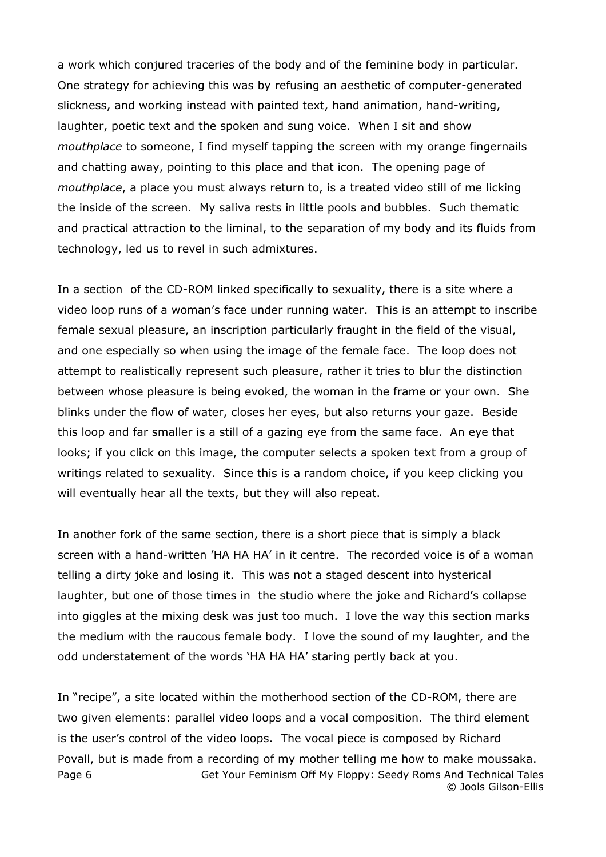a work which conjured traceries of the body and of the feminine body in particular. One strategy for achieving this was by refusing an aesthetic of computer-generated slickness, and working instead with painted text, hand animation, hand-writing, laughter, poetic text and the spoken and sung voice. When I sit and show *mouthplace* to someone, I find myself tapping the screen with my orange fingernails and chatting away, pointing to this place and that icon. The opening page of *mouthplace*, a place you must always return to, is a treated video still of me licking the inside of the screen. My saliva rests in little pools and bubbles. Such thematic and practical attraction to the liminal, to the separation of my body and its fluids from technology, led us to revel in such admixtures.

In a section of the CD-ROM linked specifically to sexuality, there is a site where a video loop runs of a woman's face under running water. This is an attempt to inscribe female sexual pleasure, an inscription particularly fraught in the field of the visual, and one especially so when using the image of the female face. The loop does not attempt to realistically represent such pleasure, rather it tries to blur the distinction between whose pleasure is being evoked, the woman in the frame or your own. She blinks under the flow of water, closes her eyes, but also returns your gaze. Beside this loop and far smaller is a still of a gazing eye from the same face. An eye that looks; if you click on this image, the computer selects a spoken text from a group of writings related to sexuality. Since this is a random choice, if you keep clicking you will eventually hear all the texts, but they will also repeat.

In another fork of the same section, there is a short piece that is simply a black screen with a hand-written 'HA HA HA' in it centre. The recorded voice is of a woman telling a dirty joke and losing it. This was not a staged descent into hysterical laughter, but one of those times in the studio where the joke and Richard's collapse into giggles at the mixing desk was just too much. I love the way this section marks the medium with the raucous female body. I love the sound of my laughter, and the odd understatement of the words 'HA HA HA' staring pertly back at you.

Page 6 Get Your Feminism Off My Floppy: Seedy Roms And Technical Tales © Jools Gilson-Ellis In "recipe", a site located within the motherhood section of the CD-ROM, there are two given elements: parallel video loops and a vocal composition. The third element is the user's control of the video loops. The vocal piece is composed by Richard Povall, but is made from a recording of my mother telling me how to make moussaka.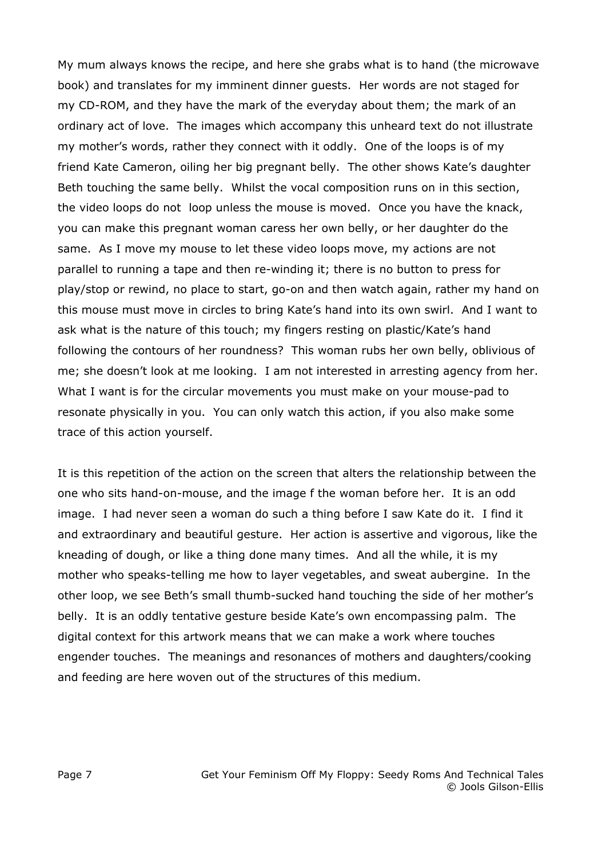My mum always knows the recipe, and here she grabs what is to hand (the microwave book) and translates for my imminent dinner guests. Her words are not staged for my CD-ROM, and they have the mark of the everyday about them; the mark of an ordinary act of love. The images which accompany this unheard text do not illustrate my mother's words, rather they connect with it oddly. One of the loops is of my friend Kate Cameron, oiling her big pregnant belly. The other shows Kate's daughter Beth touching the same belly. Whilst the vocal composition runs on in this section, the video loops do not loop unless the mouse is moved. Once you have the knack, you can make this pregnant woman caress her own belly, or her daughter do the same. As I move my mouse to let these video loops move, my actions are not parallel to running a tape and then re-winding it; there is no button to press for play/stop or rewind, no place to start, go-on and then watch again, rather my hand on this mouse must move in circles to bring Kate's hand into its own swirl. And I want to ask what is the nature of this touch; my fingers resting on plastic/Kate's hand following the contours of her roundness? This woman rubs her own belly, oblivious of me; she doesn't look at me looking. I am not interested in arresting agency from her. What I want is for the circular movements you must make on your mouse-pad to resonate physically in you. You can only watch this action, if you also make some trace of this action yourself.

It is this repetition of the action on the screen that alters the relationship between the one who sits hand-on-mouse, and the image f the woman before her. It is an odd image. I had never seen a woman do such a thing before I saw Kate do it. I find it and extraordinary and beautiful gesture. Her action is assertive and vigorous, like the kneading of dough, or like a thing done many times. And all the while, it is my mother who speaks-telling me how to layer vegetables, and sweat aubergine. In the other loop, we see Beth's small thumb-sucked hand touching the side of her mother's belly. It is an oddly tentative gesture beside Kate's own encompassing palm. The digital context for this artwork means that we can make a work where touches engender touches. The meanings and resonances of mothers and daughters/cooking and feeding are here woven out of the structures of this medium.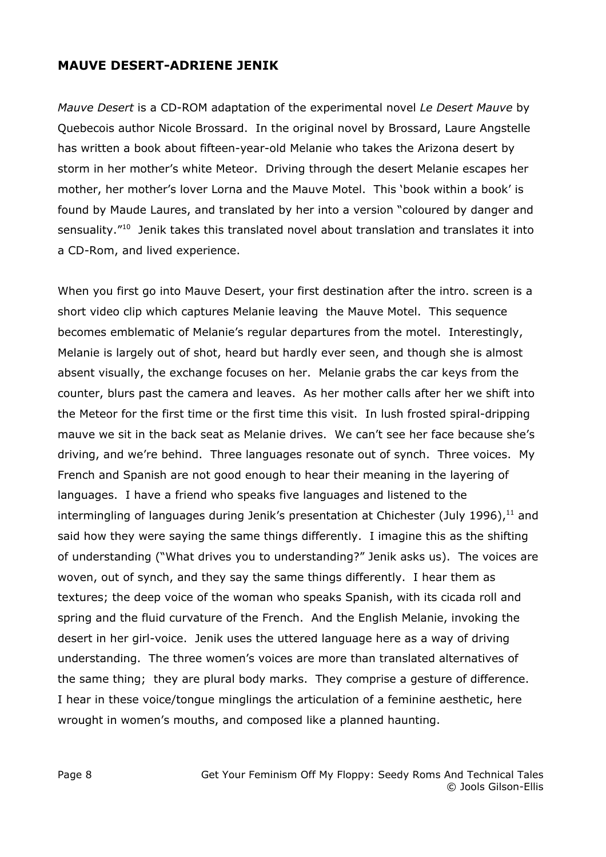## **MAUVE DESERT-ADRIENE JENIK**

*Mauve Desert* is a CD-ROM adaptation of the experimental novel *Le Desert Mauve* by Quebecois author Nicole Brossard. In the original novel by Brossard, Laure Angstelle has written a book about fifteen-year-old Melanie who takes the Arizona desert by storm in her mother's white Meteor. Driving through the desert Melanie escapes her mother, her mother's lover Lorna and the Mauve Motel. This 'book within a book' is found by Maude Laures, and translated by her into a version "coloured by danger and sensuality."<sup>10</sup> Jenik takes this translated novel about translation and translates it into a CD-Rom, and lived experience.

When you first go into Mauve Desert, your first destination after the intro. screen is a short video clip which captures Melanie leaving the Mauve Motel. This sequence becomes emblematic of Melanie's regular departures from the motel. Interestingly, Melanie is largely out of shot, heard but hardly ever seen, and though she is almost absent visually, the exchange focuses on her. Melanie grabs the car keys from the counter, blurs past the camera and leaves. As her mother calls after her we shift into the Meteor for the first time or the first time this visit. In lush frosted spiral-dripping mauve we sit in the back seat as Melanie drives. We can't see her face because she's driving, and we're behind. Three languages resonate out of synch. Three voices. My French and Spanish are not good enough to hear their meaning in the layering of languages. I have a friend who speaks five languages and listened to the intermingling of languages during Jenik's presentation at Chichester (July 1996), $^{11}$  and said how they were saying the same things differently. I imagine this as the shifting of understanding ("What drives you to understanding?" Jenik asks us). The voices are woven, out of synch, and they say the same things differently. I hear them as textures; the deep voice of the woman who speaks Spanish, with its cicada roll and spring and the fluid curvature of the French. And the English Melanie, invoking the desert in her girl-voice. Jenik uses the uttered language here as a way of driving understanding. The three women's voices are more than translated alternatives of the same thing; they are plural body marks. They comprise a gesture of difference. I hear in these voice/tongue minglings the articulation of a feminine aesthetic, here wrought in women's mouths, and composed like a planned haunting.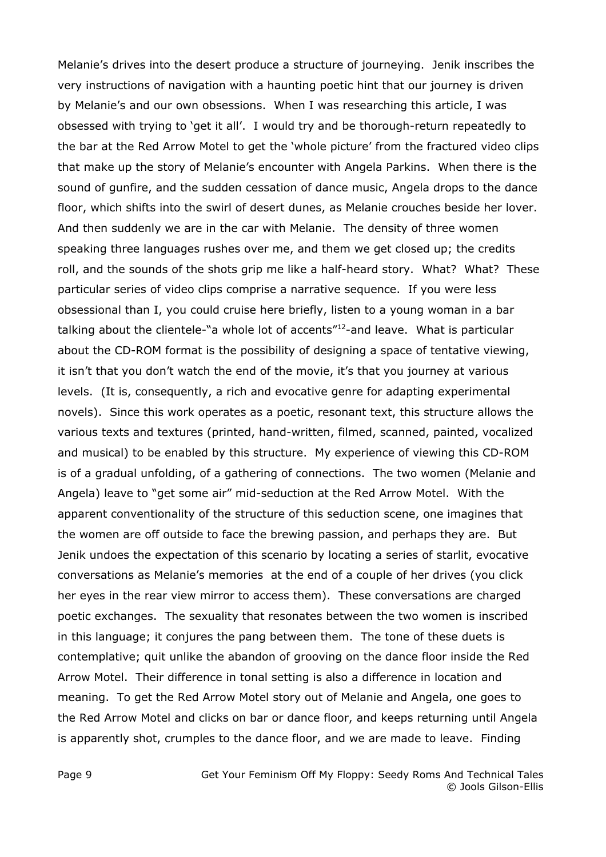Melanie's drives into the desert produce a structure of journeying. Jenik inscribes the very instructions of navigation with a haunting poetic hint that our journey is driven by Melanie's and our own obsessions. When I was researching this article, I was obsessed with trying to 'get it all'. I would try and be thorough-return repeatedly to the bar at the Red Arrow Motel to get the 'whole picture' from the fractured video clips that make up the story of Melanie's encounter with Angela Parkins. When there is the sound of gunfire, and the sudden cessation of dance music, Angela drops to the dance floor, which shifts into the swirl of desert dunes, as Melanie crouches beside her lover. And then suddenly we are in the car with Melanie. The density of three women speaking three languages rushes over me, and them we get closed up; the credits roll, and the sounds of the shots grip me like a half-heard story. What? What? These particular series of video clips comprise a narrative sequence. If you were less obsessional than I, you could cruise here briefly, listen to a young woman in a bar talking about the clientele-"a whole lot of accents"<sup>12</sup>-and leave. What is particular about the CD-ROM format is the possibility of designing a space of tentative viewing, it isn't that you don't watch the end of the movie, it's that you journey at various levels. (It is, consequently, a rich and evocative genre for adapting experimental novels). Since this work operates as a poetic, resonant text, this structure allows the various texts and textures (printed, hand-written, filmed, scanned, painted, vocalized and musical) to be enabled by this structure. My experience of viewing this CD-ROM is of a gradual unfolding, of a gathering of connections. The two women (Melanie and Angela) leave to "get some air" mid-seduction at the Red Arrow Motel. With the apparent conventionality of the structure of this seduction scene, one imagines that the women are off outside to face the brewing passion, and perhaps they are. But Jenik undoes the expectation of this scenario by locating a series of starlit, evocative conversations as Melanie's memories at the end of a couple of her drives (you click her eyes in the rear view mirror to access them). These conversations are charged poetic exchanges. The sexuality that resonates between the two women is inscribed in this language; it conjures the pang between them. The tone of these duets is contemplative; quit unlike the abandon of grooving on the dance floor inside the Red Arrow Motel. Their difference in tonal setting is also a difference in location and meaning. To get the Red Arrow Motel story out of Melanie and Angela, one goes to the Red Arrow Motel and clicks on bar or dance floor, and keeps returning until Angela is apparently shot, crumples to the dance floor, and we are made to leave. Finding

Page 9 Get Your Feminism Off My Floppy: Seedy Roms And Technical Tales © Jools Gilson-Ellis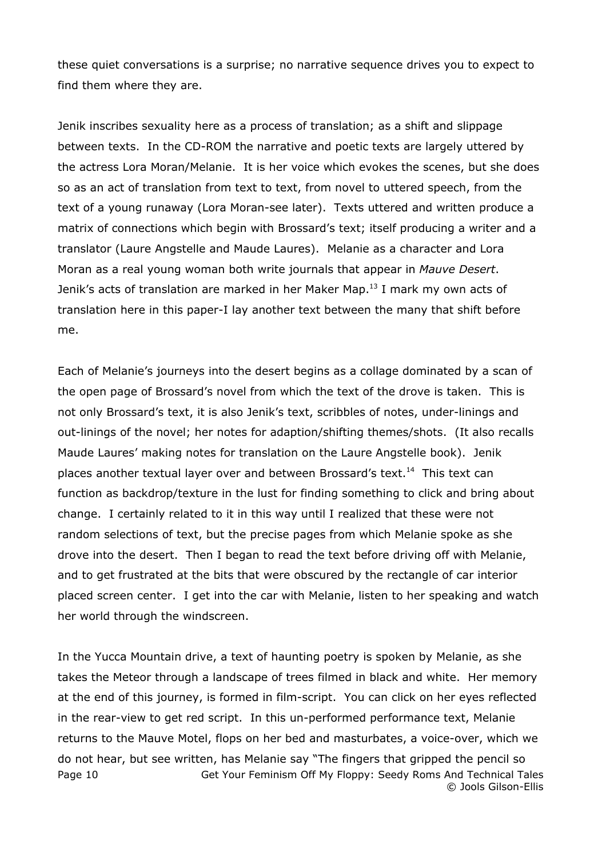these quiet conversations is a surprise; no narrative sequence drives you to expect to find them where they are.

Jenik inscribes sexuality here as a process of translation; as a shift and slippage between texts. In the CD-ROM the narrative and poetic texts are largely uttered by the actress Lora Moran/Melanie. It is her voice which evokes the scenes, but she does so as an act of translation from text to text, from novel to uttered speech, from the text of a young runaway (Lora Moran-see later). Texts uttered and written produce a matrix of connections which begin with Brossard's text; itself producing a writer and a translator (Laure Angstelle and Maude Laures). Melanie as a character and Lora Moran as a real young woman both write journals that appear in *Mauve Desert*. Jenik's acts of translation are marked in her Maker Map.<sup>13</sup> I mark my own acts of translation here in this paper-I lay another text between the many that shift before me.

Each of Melanie's journeys into the desert begins as a collage dominated by a scan of the open page of Brossard's novel from which the text of the drove is taken. This is not only Brossard's text, it is also Jenik's text, scribbles of notes, under-linings and out-linings of the novel; her notes for adaption/shifting themes/shots. (It also recalls Maude Laures' making notes for translation on the Laure Angstelle book). Jenik places another textual layer over and between Brossard's text.<sup>14</sup> This text can function as backdrop/texture in the lust for finding something to click and bring about change. I certainly related to it in this way until I realized that these were not random selections of text, but the precise pages from which Melanie spoke as she drove into the desert. Then I began to read the text before driving off with Melanie, and to get frustrated at the bits that were obscured by the rectangle of car interior placed screen center. I get into the car with Melanie, listen to her speaking and watch her world through the windscreen.

Page 10 Get Your Feminism Off My Floppy: Seedy Roms And Technical Tales © Jools Gilson-Ellis In the Yucca Mountain drive, a text of haunting poetry is spoken by Melanie, as she takes the Meteor through a landscape of trees filmed in black and white. Her memory at the end of this journey, is formed in film-script. You can click on her eyes reflected in the rear-view to get red script. In this un-performed performance text, Melanie returns to the Mauve Motel, flops on her bed and masturbates, a voice-over, which we do not hear, but see written, has Melanie say "The fingers that gripped the pencil so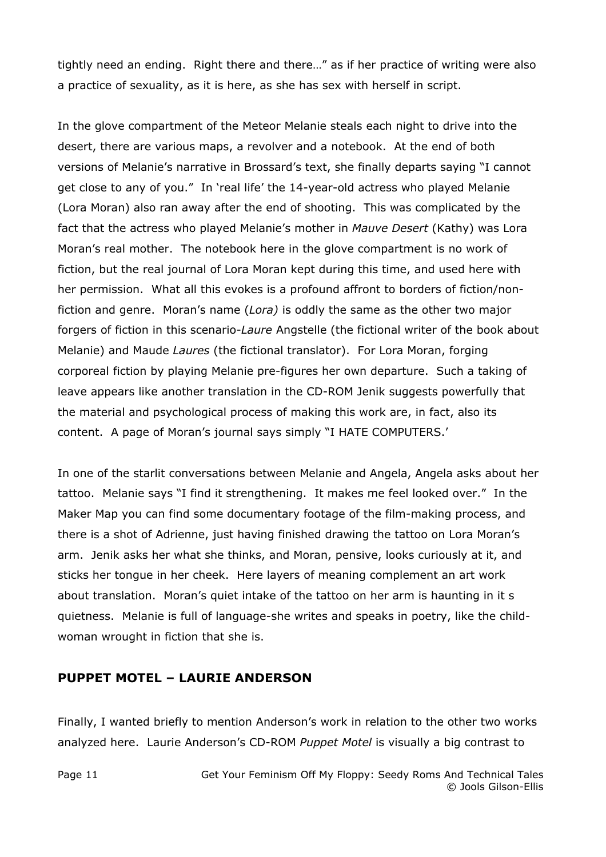tightly need an ending. Right there and there…" as if her practice of writing were also a practice of sexuality, as it is here, as she has sex with herself in script.

In the glove compartment of the Meteor Melanie steals each night to drive into the desert, there are various maps, a revolver and a notebook. At the end of both versions of Melanie's narrative in Brossard's text, she finally departs saying "I cannot get close to any of you." In 'real life' the 14-year-old actress who played Melanie (Lora Moran) also ran away after the end of shooting. This was complicated by the fact that the actress who played Melanie's mother in *Mauve Desert* (Kathy) was Lora Moran's real mother. The notebook here in the glove compartment is no work of fiction, but the real journal of Lora Moran kept during this time, and used here with her permission. What all this evokes is a profound affront to borders of fiction/nonfiction and genre. Moran's name (*Lora)* is oddly the same as the other two major forgers of fiction in this scenario-*Laure* Angstelle (the fictional writer of the book about Melanie) and Maude *Laures* (the fictional translator). For Lora Moran, forging corporeal fiction by playing Melanie pre-figures her own departure. Such a taking of leave appears like another translation in the CD-ROM Jenik suggests powerfully that the material and psychological process of making this work are, in fact, also its content. A page of Moran's journal says simply "I HATE COMPUTERS.'

In one of the starlit conversations between Melanie and Angela, Angela asks about her tattoo. Melanie says "I find it strengthening. It makes me feel looked over." In the Maker Map you can find some documentary footage of the film-making process, and there is a shot of Adrienne, just having finished drawing the tattoo on Lora Moran's arm. Jenik asks her what she thinks, and Moran, pensive, looks curiously at it, and sticks her tongue in her cheek. Here layers of meaning complement an art work about translation. Moran's quiet intake of the tattoo on her arm is haunting in it s quietness. Melanie is full of language-she writes and speaks in poetry, like the childwoman wrought in fiction that she is.

# **PUPPET MOTEL – LAURIE ANDERSON**

Finally, I wanted briefly to mention Anderson's work in relation to the other two works analyzed here. Laurie Anderson's CD-ROM *Puppet Motel* is visually a big contrast to

Page 11 Get Your Feminism Off My Floppy: Seedy Roms And Technical Tales © Jools Gilson-Ellis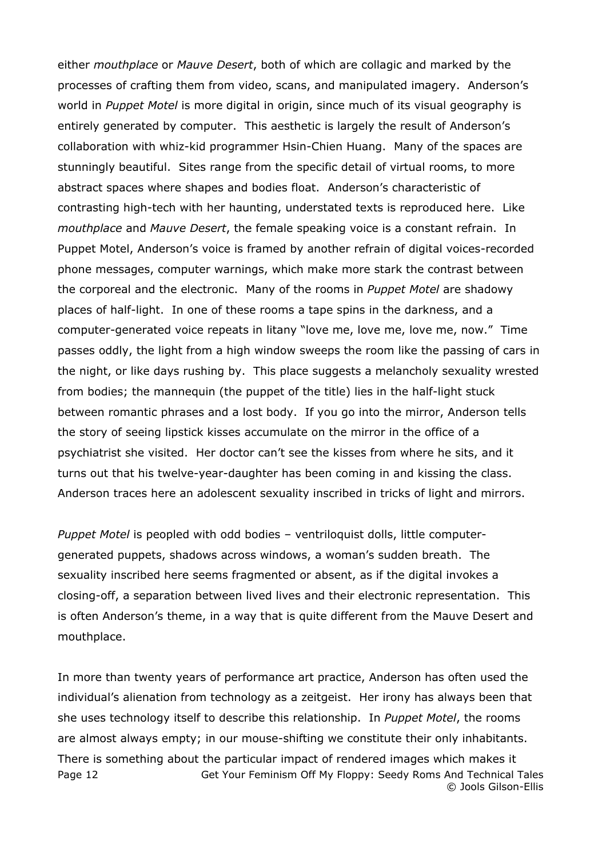either *mouthplace* or *Mauve Desert*, both of which are collagic and marked by the processes of crafting them from video, scans, and manipulated imagery. Anderson's world in *Puppet Motel* is more digital in origin, since much of its visual geography is entirely generated by computer. This aesthetic is largely the result of Anderson's collaboration with whiz-kid programmer Hsin-Chien Huang. Many of the spaces are stunningly beautiful. Sites range from the specific detail of virtual rooms, to more abstract spaces where shapes and bodies float. Anderson's characteristic of contrasting high-tech with her haunting, understated texts is reproduced here. Like *mouthplace* and *Mauve Desert*, the female speaking voice is a constant refrain. In Puppet Motel, Anderson's voice is framed by another refrain of digital voices-recorded phone messages, computer warnings, which make more stark the contrast between the corporeal and the electronic. Many of the rooms in *Puppet Motel* are shadowy places of half-light. In one of these rooms a tape spins in the darkness, and a computer-generated voice repeats in litany "love me, love me, love me, now." Time passes oddly, the light from a high window sweeps the room like the passing of cars in the night, or like days rushing by. This place suggests a melancholy sexuality wrested from bodies; the mannequin (the puppet of the title) lies in the half-light stuck between romantic phrases and a lost body. If you go into the mirror, Anderson tells the story of seeing lipstick kisses accumulate on the mirror in the office of a psychiatrist she visited. Her doctor can't see the kisses from where he sits, and it turns out that his twelve-year-daughter has been coming in and kissing the class. Anderson traces here an adolescent sexuality inscribed in tricks of light and mirrors.

*Puppet Motel* is peopled with odd bodies – ventriloquist dolls, little computergenerated puppets, shadows across windows, a woman's sudden breath. The sexuality inscribed here seems fragmented or absent, as if the digital invokes a closing-off, a separation between lived lives and their electronic representation. This is often Anderson's theme, in a way that is quite different from the Mauve Desert and mouthplace.

Page 12 **Get Your Feminism Off My Floppy: Seedy Roms And Technical Tales** © Jools Gilson-Ellis In more than twenty years of performance art practice, Anderson has often used the individual's alienation from technology as a zeitgeist. Her irony has always been that she uses technology itself to describe this relationship. In *Puppet Motel*, the rooms are almost always empty; in our mouse-shifting we constitute their only inhabitants. There is something about the particular impact of rendered images which makes it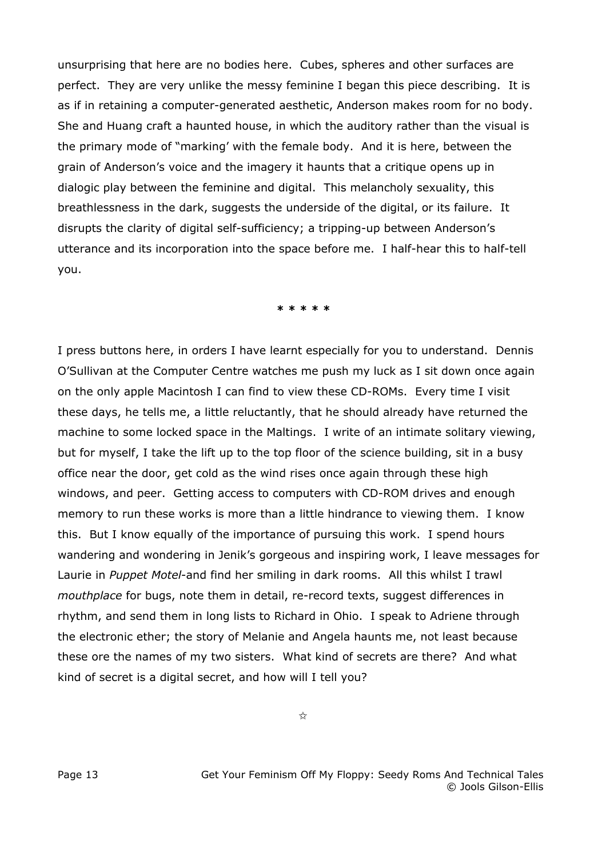unsurprising that here are no bodies here. Cubes, spheres and other surfaces are perfect. They are very unlike the messy feminine I began this piece describing. It is as if in retaining a computer-generated aesthetic, Anderson makes room for no body. She and Huang craft a haunted house, in which the auditory rather than the visual is the primary mode of "marking' with the female body. And it is here, between the grain of Anderson's voice and the imagery it haunts that a critique opens up in dialogic play between the feminine and digital. This melancholy sexuality, this breathlessness in the dark, suggests the underside of the digital, or its failure. It disrupts the clarity of digital self-sufficiency; a tripping-up between Anderson's utterance and its incorporation into the space before me. I half-hear this to half-tell you.

*\* \* \* \* \**

I press buttons here, in orders I have learnt especially for you to understand. Dennis O'Sullivan at the Computer Centre watches me push my luck as I sit down once again on the only apple Macintosh I can find to view these CD-ROMs. Every time I visit these days, he tells me, a little reluctantly, that he should already have returned the machine to some locked space in the Maltings. I write of an intimate solitary viewing, but for myself, I take the lift up to the top floor of the science building, sit in a busy office near the door, get cold as the wind rises once again through these high windows, and peer. Getting access to computers with CD-ROM drives and enough memory to run these works is more than a little hindrance to viewing them. I know this. But I know equally of the importance of pursuing this work. I spend hours wandering and wondering in Jenik's gorgeous and inspiring work, I leave messages for Laurie in *Puppet Motel*-and find her smiling in dark rooms. All this whilst I trawl *mouthplace* for bugs, note them in detail, re-record texts, suggest differences in rhythm, and send them in long lists to Richard in Ohio. I speak to Adriene through the electronic ether; the story of Melanie and Angela haunts me, not least because these ore the names of my two sisters. What kind of secrets are there? And what kind of secret is a digital secret, and how will I tell you?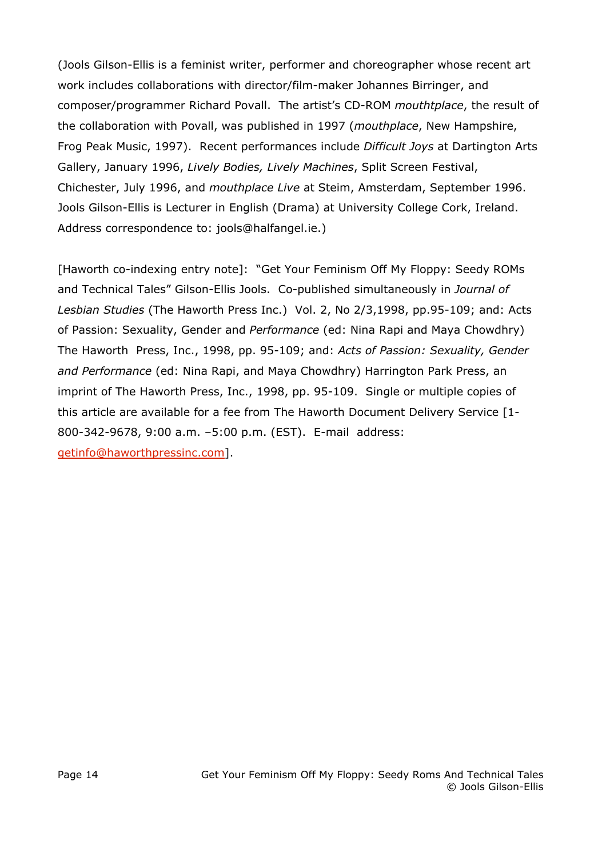(Jools Gilson-Ellis is a feminist writer, performer and choreographer whose recent art work includes collaborations with director/film-maker Johannes Birringer, and composer/programmer Richard Povall. The artist's CD-ROM *mouthtplace*, the result of the collaboration with Povall, was published in 1997 (*mouthplace*, New Hampshire, Frog Peak Music, 1997). Recent performances include *Difficult Joys* at Dartington Arts Gallery, January 1996, *Lively Bodies, Lively Machines*, Split Screen Festival, Chichester, July 1996, and *mouthplace Live* at Steim, Amsterdam, September 1996. Jools Gilson-Ellis is Lecturer in English (Drama) at University College Cork, Ireland. Address correspondence to: jools@halfangel.ie.)

[Haworth co-indexing entry note]: "Get Your Feminism Off My Floppy: Seedy ROMs and Technical Tales" Gilson-Ellis Jools. Co-published simultaneously in *Journal of Lesbian Studies* (The Haworth Press Inc.) Vol. 2, No 2/3,1998, pp.95-109; and: Acts of Passion: Sexuality, Gender and *Performance* (ed: Nina Rapi and Maya Chowdhry) The Haworth Press, Inc., 1998, pp. 95-109; and: *Acts of Passion: Sexuality, Gender and Performance* (ed: Nina Rapi, and Maya Chowdhry) Harrington Park Press, an imprint of The Haworth Press, Inc., 1998, pp. 95-109. Single or multiple copies of this article are available for a fee from The Haworth Document Delivery Service [1- 800-342-9678, 9:00 a.m. –5:00 p.m. (EST). E-mail address: getinfo@haworthpressinc.com].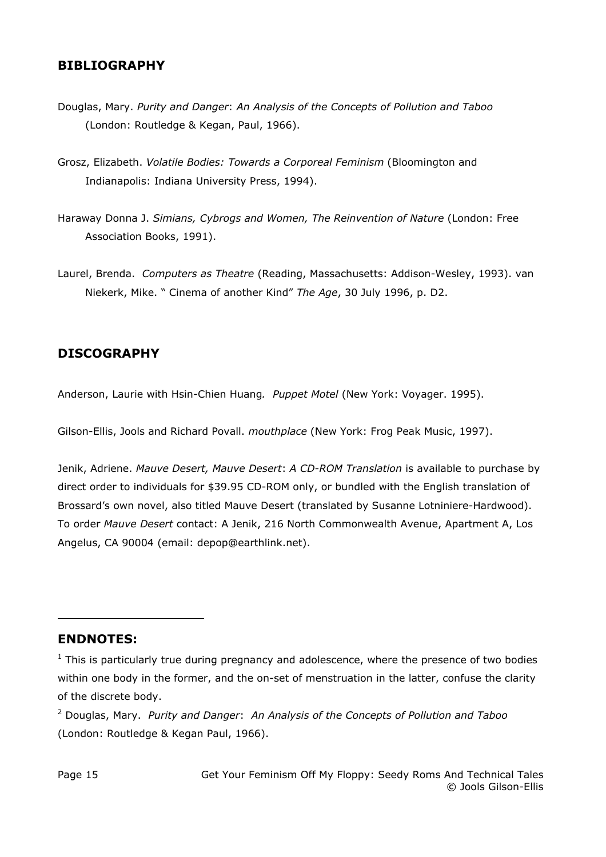### **BIBLIOGRAPHY**

- Douglas, Mary. *Purity and Danger*: *An Analysis of the Concepts of Pollution and Taboo* (London: Routledge & Kegan, Paul, 1966).
- Grosz, Elizabeth. *Volatile Bodies: Towards a Corporeal Feminism* (Bloomington and Indianapolis: Indiana University Press, 1994).
- Haraway Donna J. *Simians, Cybrogs and Women, The Reinvention of Nature* (London: Free Association Books, 1991).
- Laurel, Brenda. *Computers as Theatre* (Reading, Massachusetts: Addison-Wesley, 1993). van Niekerk, Mike. " Cinema of another Kind" *The Age*, 30 July 1996, p. D2.

## **DISCOGRAPHY**

Anderson, Laurie with Hsin-Chien Huang*. Puppet Motel* (New York: Voyager. 1995).

Gilson-Ellis, Jools and Richard Povall. *mouthplace* (New York: Frog Peak Music, 1997).

Jenik, Adriene. *Mauve Desert, Mauve Desert*: *A CD-ROM Translation* is available to purchase by direct order to individuals for \$39.95 CD-ROM only, or bundled with the English translation of Brossard's own novel, also titled Mauve Desert (translated by Susanne Lotniniere-Hardwood). To order *Mauve Desert* contact: A Jenik, 216 North Commonwealth Avenue, Apartment A, Los Angelus, CA 90004 (email: depop@earthlink.net).

#### **ENDNOTES:**

 $\overline{a}$ 

2 Douglas, Mary. *Purity and Danger*: *An Analysis of the Concepts of Pollution and Taboo* (London: Routledge & Kegan Paul, 1966).

Page 15 Get Your Feminism Off My Floppy: Seedy Roms And Technical Tales © Jools Gilson-Ellis

 $<sup>1</sup>$  This is particularly true during pregnancy and adolescence, where the presence of two bodies</sup> within one body in the former, and the on-set of menstruation in the latter, confuse the clarity of the discrete body.